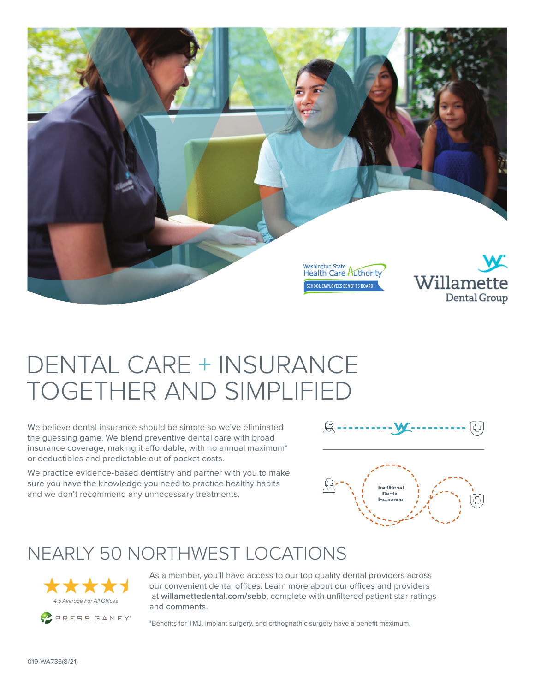

# DENTAL CARE + INSURANCE TOGETHER AND SIMPLIFIED

We believe dental insurance should be simple so we've eliminated the guessing game. We blend preventive dental care with broad insurance coverage, making it affordable, with no annual maximum\* or deductibles and predictable out of pocket costs.

We practice evidence-based dentistry and partner with you to make sure you have the knowledge you need to practice healthy habits and we don't recommend any unnecessary treatments.





#### NEARLY 50 NORTHWEST LOCATIONS



As a member, you'll have access to our top quality dental providers across our convenient dental offices. Learn more about our offices and providers at **willamettedental.com/sebb**, complete with unfiltered patient star ratings and comments.

\*Benefits for TMJ, implant surgery, and orthognathic surgery have a benefit maximum.